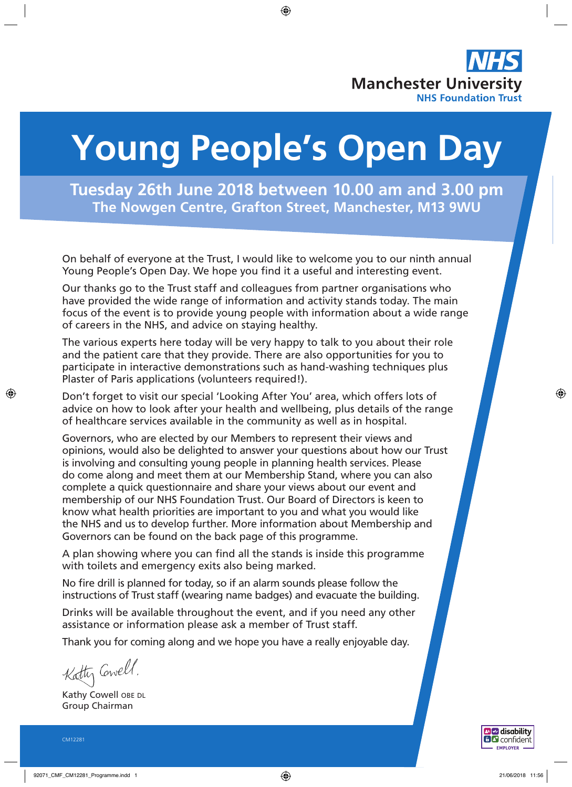

# **Young People's Open Day**

**Tuesday 26th June 2018 between 10.00 am and 3.00 pm The Nowgen Centre, Grafton Street, Manchester, M13 9WU**

On behalf of everyone at the Trust, I would like to welcome you to our ninth annual Young People's Open Day. We hope you find it a useful and interesting event.

Our thanks go to the Trust staff and colleagues from partner organisations who have provided the wide range of information and activity stands today. The main focus of the event is to provide young people with information about a wide range of careers in the NHS, and advice on staying healthy.

The various experts here today will be very happy to talk to you about their role and the patient care that they provide. There are also opportunities for you to participate in interactive demonstrations such as hand-washing techniques plus Plaster of Paris applications (volunteers required!).

Don't forget to visit our special 'Looking After You' area, which offers lots of advice on how to look after your health and wellbeing, plus details of the range of healthcare services available in the community as well as in hospital.

Governors, who are elected by our Members to represent their views and opinions, would also be delighted to answer your questions about how our Trust is involving and consulting young people in planning health services. Please do come along and meet them at our Membership Stand, where you can also complete a quick questionnaire and share your views about our event and membership of our NHS Foundation Trust. Our Board of Directors is keen to know what health priorities are important to you and what you would like the NHS and us to develop further. More information about Membership and Governors can be found on the back page of this programme.

A plan showing where you can find all the stands is inside this programme with toilets and emergency exits also being marked.

No fire drill is planned for today, so if an alarm sounds please follow the instructions of Trust staff (wearing name badges) and evacuate the building.

Drinks will be available throughout the event, and if you need any other assistance or information please ask a member of Trust staff.

Thank you for coming along and we hope you have a really enjoyable day.

Katty Cowell.

Kathy Cowell OBE DL Group Chairman

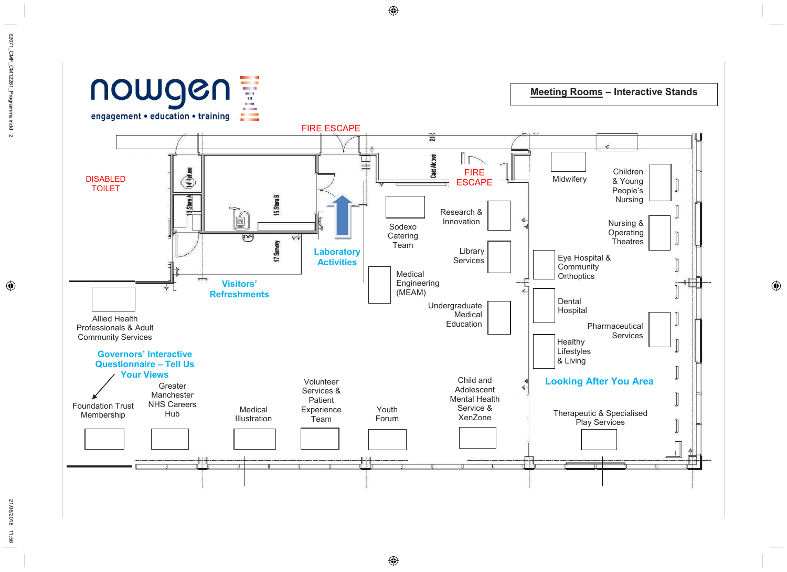

**Meeting Rooms - Interactive Stands** 

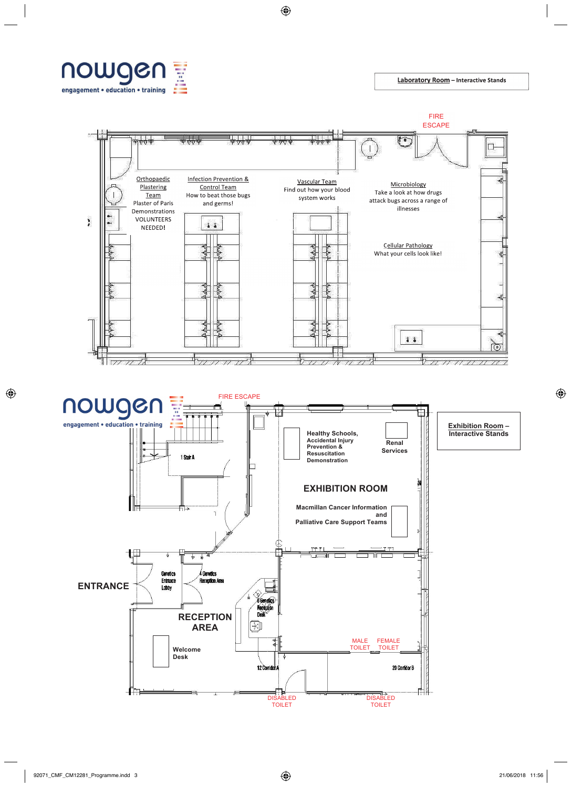